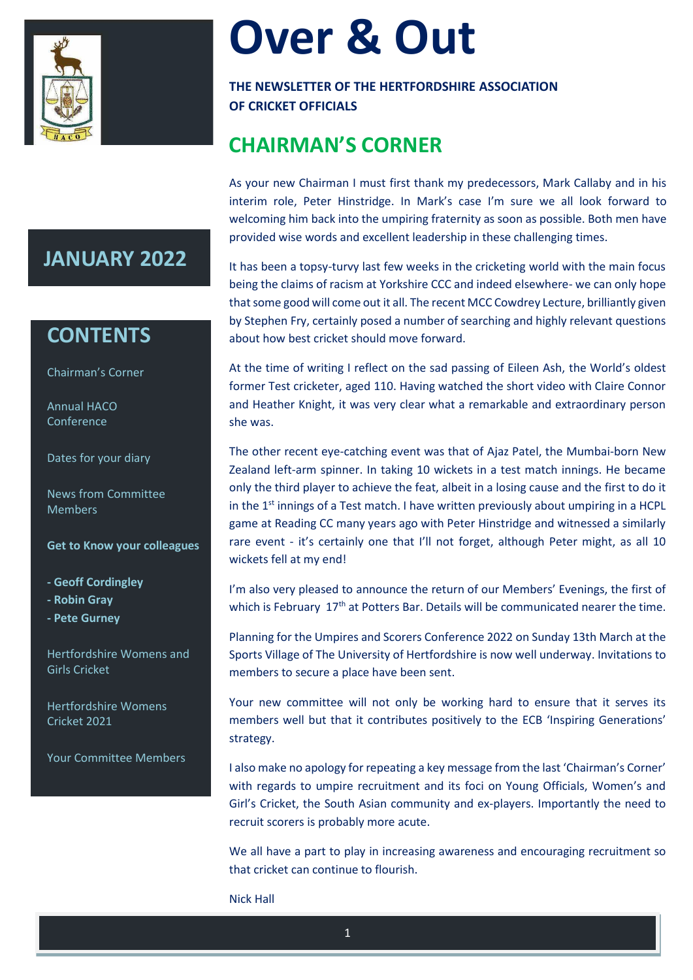

# **Over & Out**

**THE NEWSLETTER OF THE HERTFORDSHIRE ASSOCIATION OF CRICKET OFFICIALS**

# **CHAIRMAN'S CORNER**

As your new Chairman I must first thank my predecessors, Mark Callaby and in his interim role, Peter Hinstridge. In Mark's case I'm sure we all look forward to welcoming him back into the umpiring fraternity as soon as possible. Both men have provided wise words and excellent leadership in these challenging times.

It has been a topsy-turvy last few weeks in the cricketing world with the main focus being the claims of racism at Yorkshire CCC and indeed elsewhere- we can only hope that some good will come out it all. The recent MCC Cowdrey Lecture, brilliantly given by Stephen Fry, certainly posed a number of searching and highly relevant questions about how best cricket should move forward.

At the time of writing I reflect on the sad passing of Eileen Ash, the World's oldest former Test cricketer, aged 110. Having watched the short video with Claire Connor and Heather Knight, it was very clear what a remarkable and extraordinary person she was.

The other recent eye-catching event was that of Ajaz Patel, the Mumbai-born New Zealand left-arm spinner. In taking 10 wickets in a test match innings. He became only the third player to achieve the feat, albeit in a losing cause and the first to do it in the  $1<sup>st</sup>$  innings of a Test match. I have written previously about umpiring in a HCPL game at Reading CC many years ago with Peter Hinstridge and witnessed a similarly rare event - it's certainly one that I'll not forget, although Peter might, as all 10 wickets fell at my end!

I'm also very pleased to announce the return of our Members' Evenings, the first of which is February 17<sup>th</sup> at Potters Bar. Details will be communicated nearer the time.

Planning for the Umpires and Scorers Conference 2022 on Sunday 13th March at the Sports Village of The University of Hertfordshire is now well underway. Invitations to members to secure a place have been sent.

Your new committee will not only be working hard to ensure that it serves its members well but that it contributes positively to the ECB 'Inspiring Generations' strategy.

I also make no apology for repeating a key message from the last 'Chairman's Corner' with regards to umpire recruitment and its foci on Young Officials, Women's and Girl's Cricket, the South Asian community and ex-players. Importantly the need to recruit scorers is probably more acute.

We all have a part to play in increasing awareness and encouraging recruitment so that cricket can continue to flourish.

Nick Hall

# **JANUARY 2022**

# **CONTENTS**

Chairman's Corner

Annual HACO **Conference** 

Dates for your diary

News from Committee Members

**Get to Know your colleagues**

**- Geoff Cordingley**

**- Robin Gray**

**- Pete Gurney**

Hertfordshire Womens and Girls Cricket

Hertfordshire Womens Cricket 2021

Your Committee Members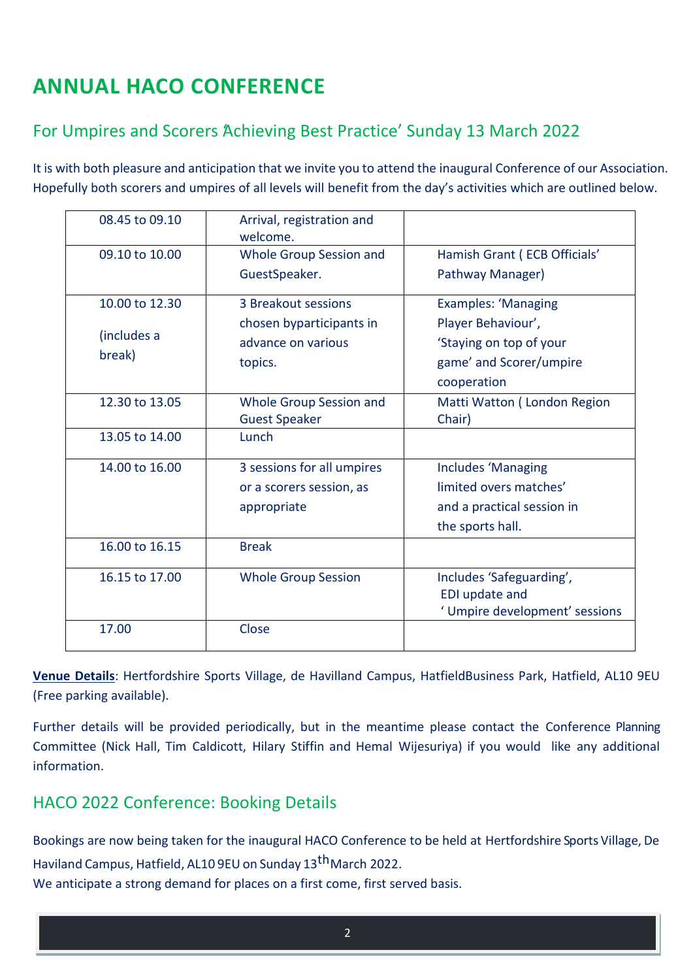# **ANNUAL HACO CONFERENCE**

### For Umpires and Scorers Achieving Best Practice' Sunday 13 March 2022

It is with both pleasure and anticipation that we invite you to attend the inaugural Conference of our Association. Hopefully both scorers and umpires of all levels will benefit from the day's activities which are outlined below.

| 08.45 to 09.10 | Arrival, registration and      |                                |
|----------------|--------------------------------|--------------------------------|
|                | welcome.                       |                                |
| 09.10 to 10.00 | <b>Whole Group Session and</b> | Hamish Grant (ECB Officials'   |
|                | GuestSpeaker.                  | Pathway Manager)               |
|                |                                |                                |
| 10.00 to 12.30 | 3 Breakout sessions            | <b>Examples: 'Managing</b>     |
|                | chosen byparticipants in       | Player Behaviour',             |
| (includes a    | advance on various             | 'Staying on top of your        |
| break)         | topics.                        | game' and Scorer/umpire        |
|                |                                | cooperation                    |
| 12.30 to 13.05 | Whole Group Session and        | Matti Watton (London Region    |
|                | <b>Guest Speaker</b>           | Chair)                         |
| 13.05 to 14.00 | Lunch                          |                                |
| 14.00 to 16.00 | 3 sessions for all umpires     | <b>Includes 'Managing</b>      |
|                | or a scorers session, as       | limited overs matches'         |
|                | appropriate                    | and a practical session in     |
|                |                                | the sports hall.               |
| 16.00 to 16.15 | <b>Break</b>                   |                                |
| 16.15 to 17.00 | <b>Whole Group Session</b>     | Includes 'Safeguarding',       |
|                |                                | <b>EDI</b> update and          |
|                |                                | ' Umpire development' sessions |
| 17.00          | Close                          |                                |
|                |                                |                                |

**Venue Details**: Hertfordshire Sports Village, de Havilland Campus, HatfieldBusiness Park, Hatfield, AL10 9EU (Free parking available).

Further details will be provided periodically, but in the meantime please contact the Conference Planning Committee (Nick Hall, Tim Caldicott, Hilary Stiffin and Hemal Wijesuriya) if you would like any additional information.

### HACO 2022 Conference: Booking Details

Bookings are now being taken for the inaugural HACO Conference to be held at Hertfordshire Sports Village, De Haviland Campus, Hatfield, AL10 9EU on Sunday 13<sup>th</sup> March 2022.

We anticipate a strong demand for places on a first come, first served basis.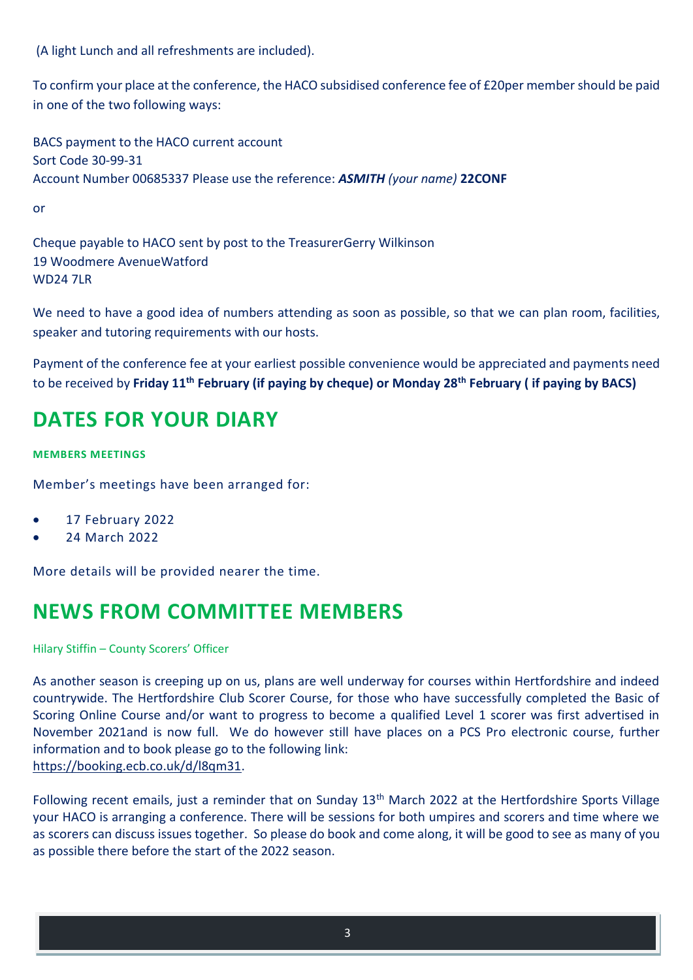(A light Lunch and all refreshments are included).

To confirm your place at the conference, the HACO subsidised conference fee of £20per member should be paid in one of the two following ways:

BACS payment to the HACO current account Sort Code 30-99-31 Account Number 00685337 Please use the reference: *ASMITH (your name)* **22CONF**

or

Cheque payable to HACO sent by post to the TreasurerGerry Wilkinson 19 Woodmere AvenueWatford **WD24 7LR** 

We need to have a good idea of numbers attending as soon as possible, so that we can plan room, facilities, speaker and tutoring requirements with our hosts.

Payment of the conference fee at your earliest possible convenience would be appreciated and payments need to be received by **Friday 11th February (if paying by cheque) or Monday 28th February ( if paying by BACS)**

# **DATES FOR YOUR DIARY**

### **MEMBERS MEETINGS**

Member's meetings have been arranged for:

- 17 February 2022
- 24 March 2022

More details will be provided nearer the time.

# **NEWS FROM COMMITTEE MEMBERS**

Hilary Stiffin – County Scorers' Officer

As another season is creeping up on us, plans are well underway for courses within Hertfordshire and indeed countrywide. The Hertfordshire Club Scorer Course, for those who have successfully completed the Basic of Scoring Online Course and/or want to progress to become a qualified Level 1 scorer was first advertised in November 2021and is now full. We do however still have places on a PCS Pro electronic course, further information and to book please go to the following link: [https://booking.ecb.co.uk/d/l8qm31.](https://booking.ecb.co.uk/d/l8qm31)

Following recent emails, just a reminder that on Sunday 13<sup>th</sup> March 2022 at the Hertfordshire Sports Village your HACO is arranging a conference. There will be sessions for both umpires and scorers and time where we as scorers can discuss issues together. So please do book and come along, it will be good to see as many of you as possible there before the start of the 2022 season.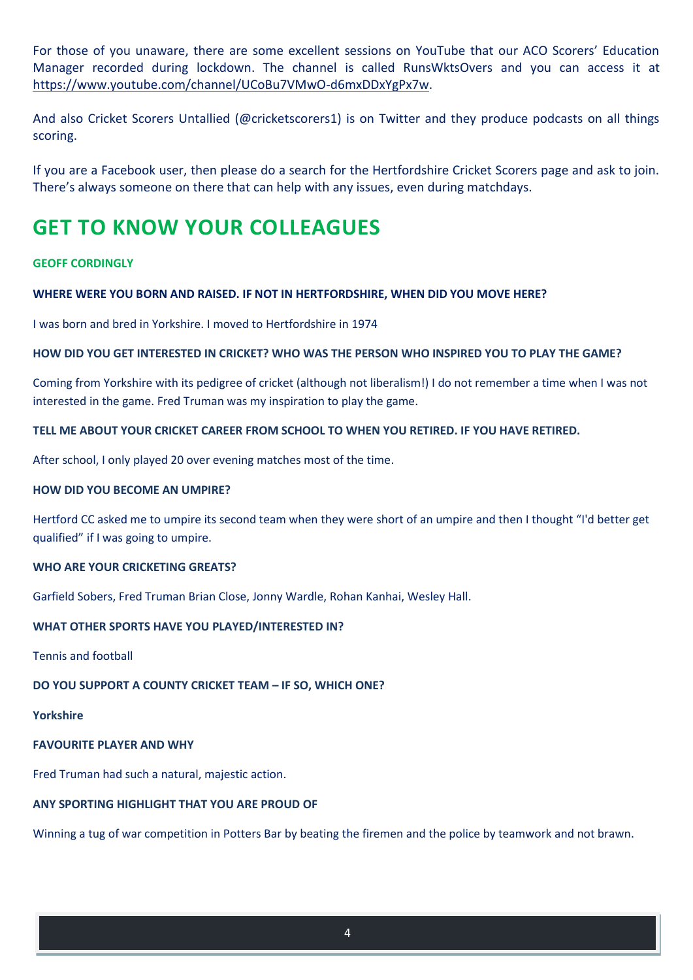For those of you unaware, there are some excellent sessions on YouTube that our ACO Scorers' Education Manager recorded during lockdown. The channel is called RunsWktsOvers and you can access it at [https://www.youtube.com/channel/UCoBu7VMwO-d6mxDDxYgPx7w.](https://www.youtube.com/channel/UCoBu7VMwO-d6mxDDxYgPx7w)

And also Cricket Scorers Untallied (@cricketscorers1) is on Twitter and they produce podcasts on all things scoring.

If you are a Facebook user, then please do a search for the Hertfordshire Cricket Scorers page and ask to join. There's always someone on there that can help with any issues, even during matchdays.

# **GET TO KNOW YOUR COLLEAGUES**

#### **GEOFF CORDINGLY**

#### **WHERE WERE YOU BORN AND RAISED. IF NOT IN HERTFORDSHIRE, WHEN DID YOU MOVE HERE?**

I was born and bred in Yorkshire. I moved to Hertfordshire in 1974

#### **HOW DID YOU GET INTERESTED IN CRICKET? WHO WAS THE PERSON WHO INSPIRED YOU TO PLAY THE GAME?**

Coming from Yorkshire with its pedigree of cricket (although not liberalism!) I do not remember a time when I was not interested in the game. Fred Truman was my inspiration to play the game.

#### **TELL ME ABOUT YOUR CRICKET CAREER FROM SCHOOL TO WHEN YOU RETIRED. IF YOU HAVE RETIRED.**

After school, I only played 20 over evening matches most of the time.

#### **HOW DID YOU BECOME AN UMPIRE?**

Hertford CC asked me to umpire its second team when they were short of an umpire and then I thought "I'd better get qualified" if I was going to umpire.

#### **WHO ARE YOUR CRICKETING GREATS?**

Garfield Sobers, Fred Truman Brian Close, Jonny Wardle, Rohan Kanhai, Wesley Hall.

### **WHAT OTHER SPORTS HAVE YOU PLAYED/INTERESTED IN?**

Tennis and football

### **DO YOU SUPPORT A COUNTY CRICKET TEAM – IF SO, WHICH ONE?**

**Yorkshire**

### **FAVOURITE PLAYER AND WHY**

Fred Truman had such a natural, majestic action.

### **ANY SPORTING HIGHLIGHT THAT YOU ARE PROUD OF**

Winning a tug of war competition in Potters Bar by beating the firemen and the police by teamwork and not brawn.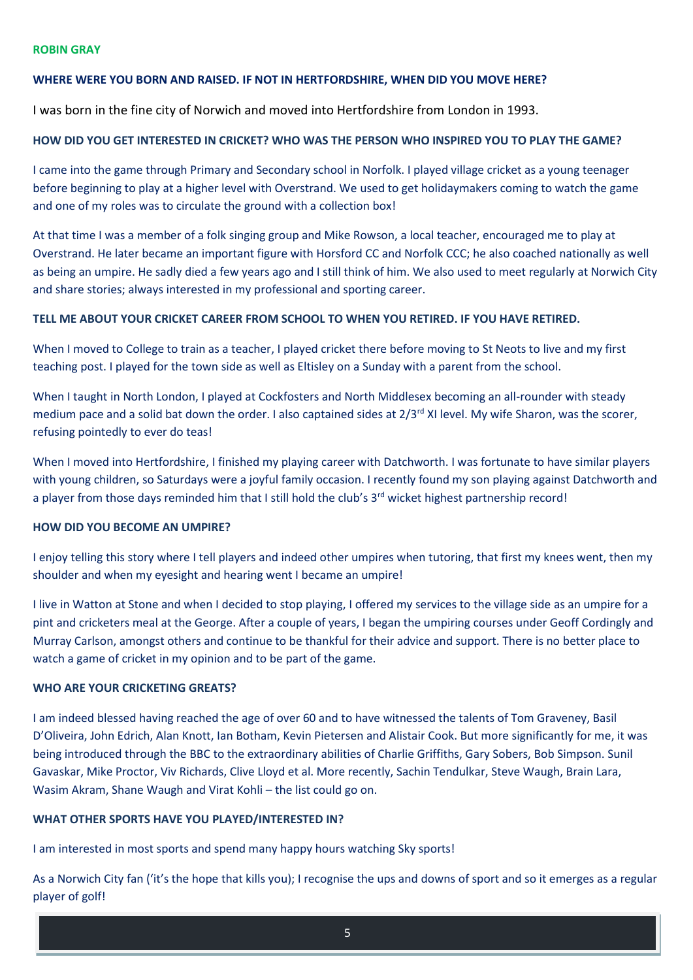#### **ROBIN GRAY**

#### **WHERE WERE YOU BORN AND RAISED. IF NOT IN HERTFORDSHIRE, WHEN DID YOU MOVE HERE?**

I was born in the fine city of Norwich and moved into Hertfordshire from London in 1993.

#### **HOW DID YOU GET INTERESTED IN CRICKET? WHO WAS THE PERSON WHO INSPIRED YOU TO PLAY THE GAME?**

I came into the game through Primary and Secondary school in Norfolk. I played village cricket as a young teenager before beginning to play at a higher level with Overstrand. We used to get holidaymakers coming to watch the game and one of my roles was to circulate the ground with a collection box!

At that time I was a member of a folk singing group and Mike Rowson, a local teacher, encouraged me to play at Overstrand. He later became an important figure with Horsford CC and Norfolk CCC; he also coached nationally as well as being an umpire. He sadly died a few years ago and I still think of him. We also used to meet regularly at Norwich City and share stories; always interested in my professional and sporting career.

#### **TELL ME ABOUT YOUR CRICKET CAREER FROM SCHOOL TO WHEN YOU RETIRED. IF YOU HAVE RETIRED.**

When I moved to College to train as a teacher, I played cricket there before moving to St Neots to live and my first teaching post. I played for the town side as well as Eltisley on a Sunday with a parent from the school.

When I taught in North London, I played at Cockfosters and North Middlesex becoming an all-rounder with steady medium pace and a solid bat down the order. I also captained sides at  $2/3^{rd}$  XI level. My wife Sharon, was the scorer, refusing pointedly to ever do teas!

When I moved into Hertfordshire, I finished my playing career with Datchworth. I was fortunate to have similar players with young children, so Saturdays were a joyful family occasion. I recently found my son playing against Datchworth and a player from those days reminded him that I still hold the club's 3<sup>rd</sup> wicket highest partnership record!

#### **HOW DID YOU BECOME AN UMPIRE?**

I enjoy telling this story where I tell players and indeed other umpires when tutoring, that first my knees went, then my shoulder and when my eyesight and hearing went I became an umpire!

I live in Watton at Stone and when I decided to stop playing, I offered my services to the village side as an umpire for a pint and cricketers meal at the George. After a couple of years, I began the umpiring courses under Geoff Cordingly and Murray Carlson, amongst others and continue to be thankful for their advice and support. There is no better place to watch a game of cricket in my opinion and to be part of the game.

#### **WHO ARE YOUR CRICKETING GREATS?**

I am indeed blessed having reached the age of over 60 and to have witnessed the talents of Tom Graveney, Basil D'Oliveira, John Edrich, Alan Knott, Ian Botham, Kevin Pietersen and Alistair Cook. But more significantly for me, it was being introduced through the BBC to the extraordinary abilities of Charlie Griffiths, Gary Sobers, Bob Simpson. Sunil Gavaskar, Mike Proctor, Viv Richards, Clive Lloyd et al. More recently, Sachin Tendulkar, Steve Waugh, Brain Lara, Wasim Akram, Shane Waugh and Virat Kohli – the list could go on.

#### **WHAT OTHER SPORTS HAVE YOU PLAYED/INTERESTED IN?**

I am interested in most sports and spend many happy hours watching Sky sports!

As a Norwich City fan ('it's the hope that kills you); I recognise the ups and downs of sport and so it emerges as a regular player of golf!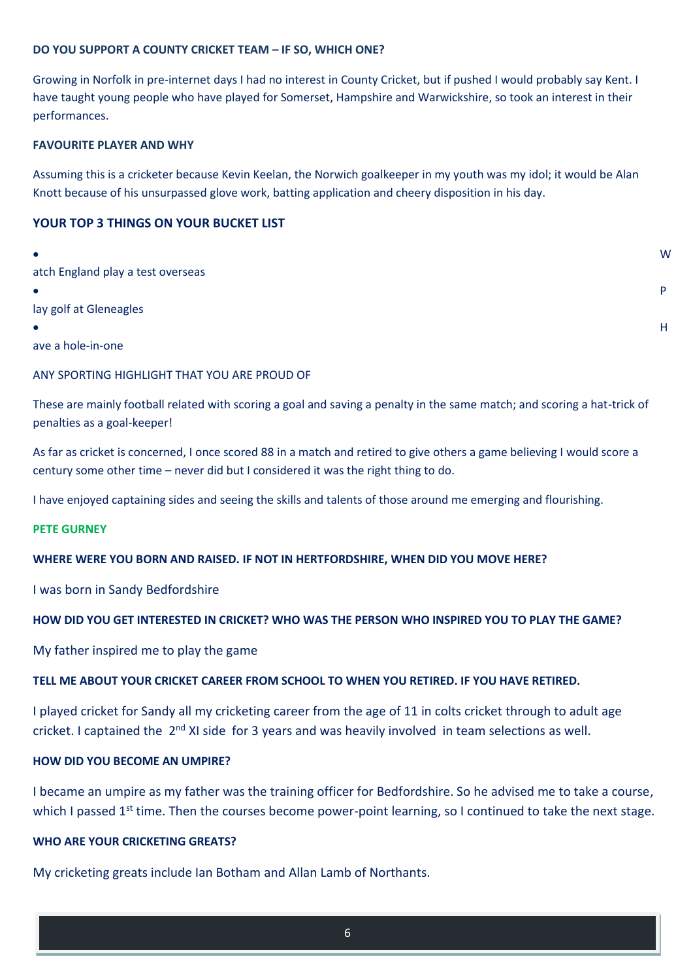#### **DO YOU SUPPORT A COUNTY CRICKET TEAM – IF SO, WHICH ONE?**

Growing in Norfolk in pre-internet days I had no interest in County Cricket, but if pushed I would probably say Kent. I have taught young people who have played for Somerset, Hampshire and Warwickshire, so took an interest in their performances.

#### **FAVOURITE PLAYER AND WHY**

Assuming this is a cricketer because Kevin Keelan, the Norwich goalkeeper in my youth was my idol; it would be Alan Knott because of his unsurpassed glove work, batting application and cheery disposition in his day.

### **YOUR TOP 3 THINGS ON YOUR BUCKET LIST**

| $\bullet$                         | W |
|-----------------------------------|---|
| atch England play a test overseas |   |
| $\bullet$                         | D |
| lay golf at Gleneagles            |   |
| $\bullet$                         | H |
| .                                 |   |

ave a hole-in-one

#### ANY SPORTING HIGHLIGHT THAT YOU ARE PROUD OF

These are mainly football related with scoring a goal and saving a penalty in the same match; and scoring a hat-trick of penalties as a goal-keeper!

As far as cricket is concerned, I once scored 88 in a match and retired to give others a game believing I would score a century some other time – never did but I considered it was the right thing to do.

I have enjoyed captaining sides and seeing the skills and talents of those around me emerging and flourishing.

#### **PETE GURNEY**

### **WHERE WERE YOU BORN AND RAISED. IF NOT IN HERTFORDSHIRE, WHEN DID YOU MOVE HERE?**

I was born in Sandy Bedfordshire

### **HOW DID YOU GET INTERESTED IN CRICKET? WHO WAS THE PERSON WHO INSPIRED YOU TO PLAY THE GAME?**

My father inspired me to play the game

#### **TELL ME ABOUT YOUR CRICKET CAREER FROM SCHOOL TO WHEN YOU RETIRED. IF YOU HAVE RETIRED.**

I played cricket for Sandy all my cricketing career from the age of 11 in colts cricket through to adult age cricket. I captained the 2<sup>nd</sup> XI side for 3 years and was heavily involved in team selections as well.

#### **HOW DID YOU BECOME AN UMPIRE?**

I became an umpire as my father was the training officer for Bedfordshire. So he advised me to take a course, which I passed 1<sup>st</sup> time. Then the courses become power-point learning, so I continued to take the next stage.

#### **WHO ARE YOUR CRICKETING GREATS?**

My cricketing greats include Ian Botham and Allan Lamb of Northants.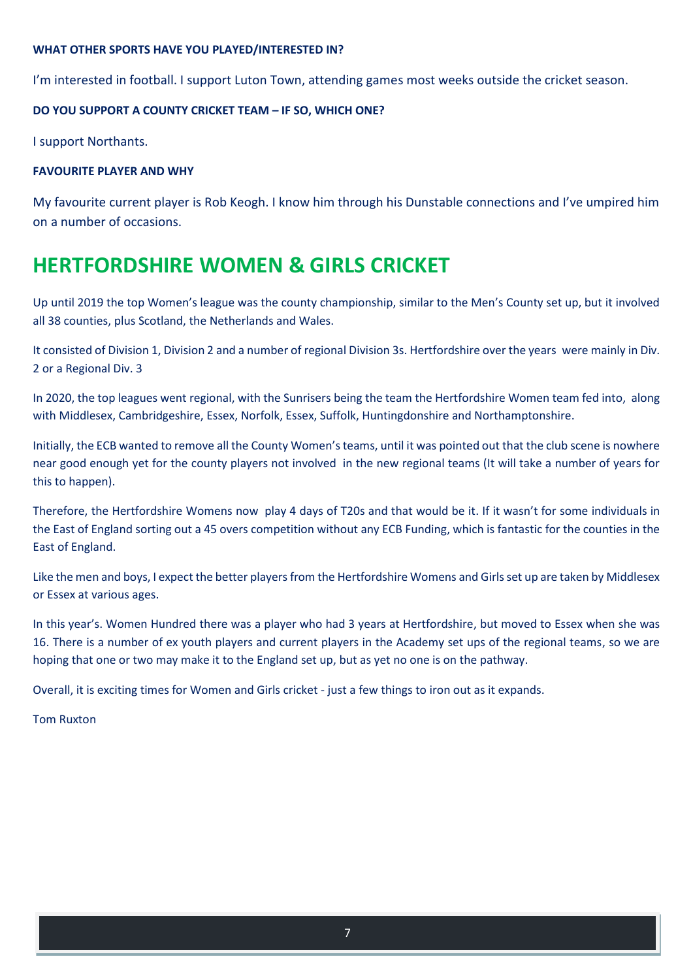#### **WHAT OTHER SPORTS HAVE YOU PLAYED/INTERESTED IN?**

I'm interested in football. I support Luton Town, attending games most weeks outside the cricket season.

### **DO YOU SUPPORT A COUNTY CRICKET TEAM – IF SO, WHICH ONE?**

I support Northants.

### **FAVOURITE PLAYER AND WHY**

My favourite current player is Rob Keogh. I know him through his Dunstable connections and I've umpired him on a number of occasions.

# **HERTFORDSHIRE WOMEN & GIRLS CRICKET**

Up until 2019 the top Women's league was the county championship, similar to the Men's County set up, but it involved all 38 counties, plus Scotland, the Netherlands and Wales.

It consisted of Division 1, Division 2 and a number of regional Division 3s. Hertfordshire over the years were mainly in Div. 2 or a Regional Div. 3

In 2020, the top leagues went regional, with the Sunrisers being the team the Hertfordshire Women team fed into, along with Middlesex, Cambridgeshire, Essex, Norfolk, Essex, Suffolk, Huntingdonshire and Northamptonshire.

Initially, the ECB wanted to remove all the County Women's teams, until it was pointed out that the club scene is nowhere near good enough yet for the county players not involved in the new regional teams (It will take a number of years for this to happen).

Therefore, the Hertfordshire Womens now play 4 days of T20s and that would be it. If it wasn't for some individuals in the East of England sorting out a 45 overs competition without any ECB Funding, which is fantastic for the counties in the East of England.

Like the men and boys, I expect the better players from the Hertfordshire Womens and Girls set up are taken by Middlesex or Essex at various ages.

In this year's. Women Hundred there was a player who had 3 years at Hertfordshire, but moved to Essex when she was 16. There is a number of ex youth players and current players in the Academy set ups of the regional teams, so we are hoping that one or two may make it to the England set up, but as yet no one is on the pathway.

Overall, it is exciting times for Women and Girls cricket - just a few things to iron out as it expands.

Tom Ruxton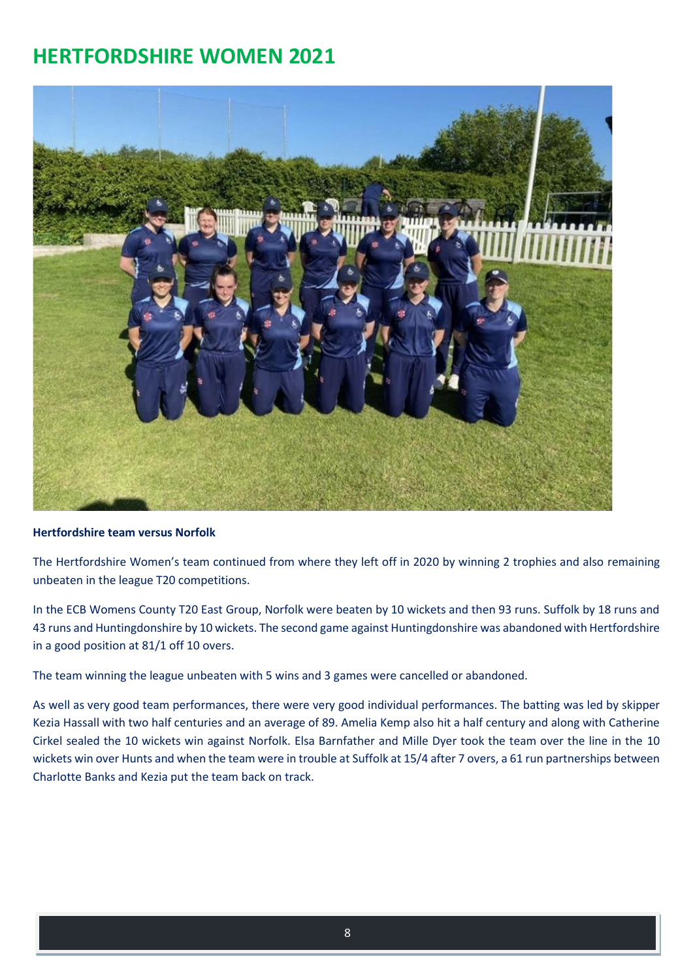# **HERTFORDSHIRE WOMEN 2021**



#### **Hertfordshire team versus Norfolk**

The Hertfordshire Women's team continued from where they left off in 2020 by winning 2 trophies and also remaining unbeaten in the league T20 competitions.

In the ECB Womens County T20 East Group, Norfolk were beaten by 10 wickets and then 93 runs. Suffolk by 18 runs and 43 runs and Huntingdonshire by 10 wickets. The second game against Huntingdonshire was abandoned with Hertfordshire in a good position at 81/1 off 10 overs.

The team winning the league unbeaten with 5 wins and 3 games were cancelled or abandoned.

As well as very good team performances, there were very good individual performances. The batting was led by skipper Kezia Hassall with two half centuries and an average of 89. Amelia Kemp also hit a half century and along with Catherine Cirkel sealed the 10 wickets win against Norfolk. Elsa Barnfather and Mille Dyer took the team over the line in the 10 wickets win over Hunts and when the team were in trouble at Suffolk at 15/4 after 7 overs, a 61 run partnerships between Charlotte Banks and Kezia put the team back on track.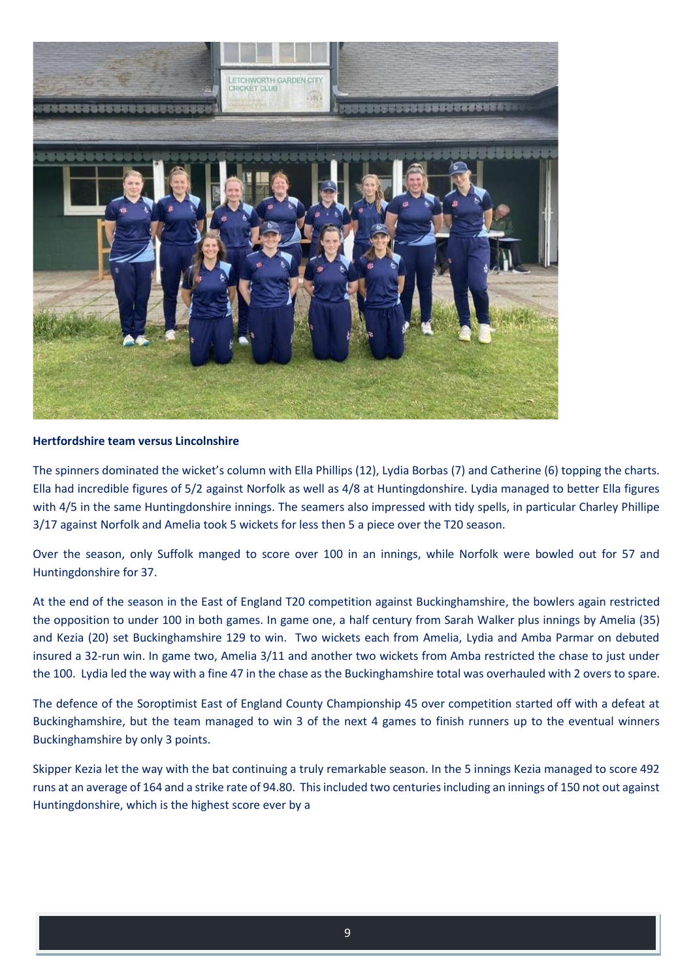

#### **Hertfordshire team versus Lincolnshire**

The spinners dominated the wicket's column with Ella Phillips (12), Lydia Borbas (7) and Catherine (6) topping the charts. Ella had incredible figures of 5/2 against Norfolk as well as 4/8 at Huntingdonshire. Lydia managed to better Ella figures with 4/5 in the same Huntingdonshire innings. The seamers also impressed with tidy spells, in particular Charley Phillipe 3/17 against Norfolk and Amelia took 5 wickets for less then 5 a piece over the T20 season.

Over the season, only Suffolk manged to score over 100 in an innings, while Norfolk were bowled out for 57 and Huntingdonshire for 37.

At the end of the season in the East of England T20 competition against Buckinghamshire, the bowlers again restricted the opposition to under 100 in both games. In game one, a half century from Sarah Walker plus innings by Amelia (35) and Kezia (20) set Buckinghamshire 129 to win. Two wickets each from Amelia, Lydia and Amba Parmar on debuted insured a 32-run win. In game two, Amelia 3/11 and another two wickets from Amba restricted the chase to just under the 100. Lydia led the way with a fine 47 in the chase as the Buckinghamshire total was overhauled with 2 overs to spare.

The defence of the Soroptimist East of England County Championship 45 over competition started off with a defeat at Buckinghamshire, but the team managed to win 3 of the next 4 games to finish runners up to the eventual winners Buckinghamshire by only 3 points.

Skipper Kezia let the way with the bat continuing a truly remarkable season. In the 5 innings Kezia managed to score 492 runs at an average of 164 and a strike rate of 94.80. This included two centuries including an innings of 150 not out against Huntingdonshire, which is the highest score ever by a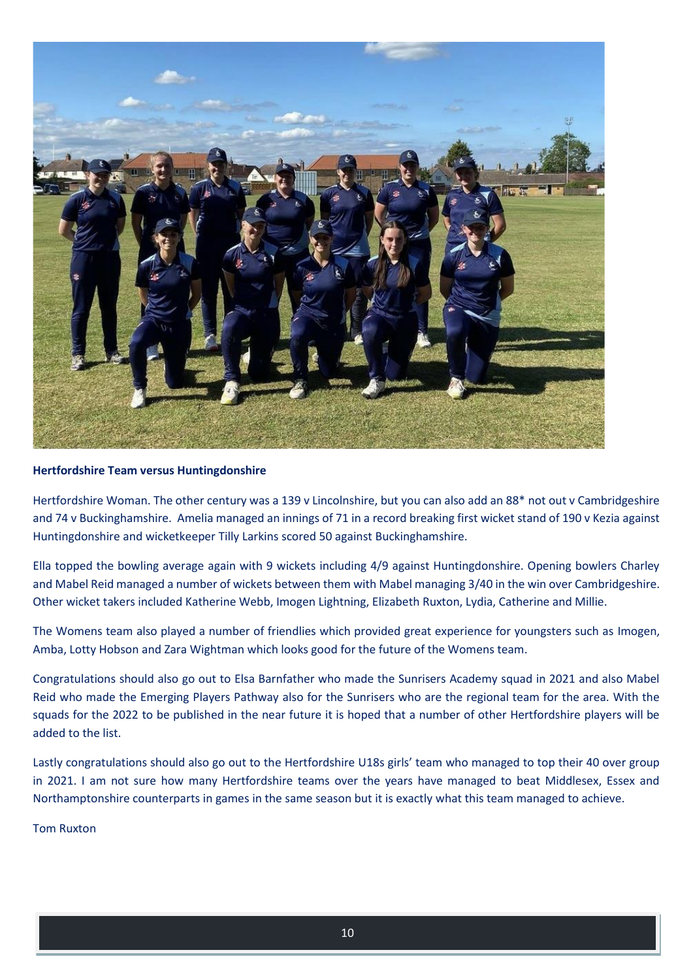

#### **Hertfordshire Team versus Huntingdonshire**

Hertfordshire Woman. The other century was a 139 v Lincolnshire, but you can also add an 88\* not out v Cambridgeshire and 74 v Buckinghamshire. Amelia managed an innings of 71 in a record breaking first wicket stand of 190 v Kezia against Huntingdonshire and wicketkeeper Tilly Larkins scored 50 against Buckinghamshire.

Ella topped the bowling average again with 9 wickets including 4/9 against Huntingdonshire. Opening bowlers Charley and Mabel Reid managed a number of wickets between them with Mabel managing 3/40 in the win over Cambridgeshire. Other wicket takers included Katherine Webb, Imogen Lightning, Elizabeth Ruxton, Lydia, Catherine and Millie.

The Womens team also played a number of friendlies which provided great experience for youngsters such as Imogen, Amba, Lotty Hobson and Zara Wightman which looks good for the future of the Womens team.

Congratulations should also go out to Elsa Barnfather who made the Sunrisers Academy squad in 2021 and also Mabel Reid who made the Emerging Players Pathway also for the Sunrisers who are the regional team for the area. With the squads for the 2022 to be published in the near future it is hoped that a number of other Hertfordshire players will be added to the list.

Lastly congratulations should also go out to the Hertfordshire U18s girls' team who managed to top their 40 over group in 2021. I am not sure how many Hertfordshire teams over the years have managed to beat Middlesex, Essex and Northamptonshire counterparts in games in the same season but it is exactly what this team managed to achieve.

#### Tom Ruxton